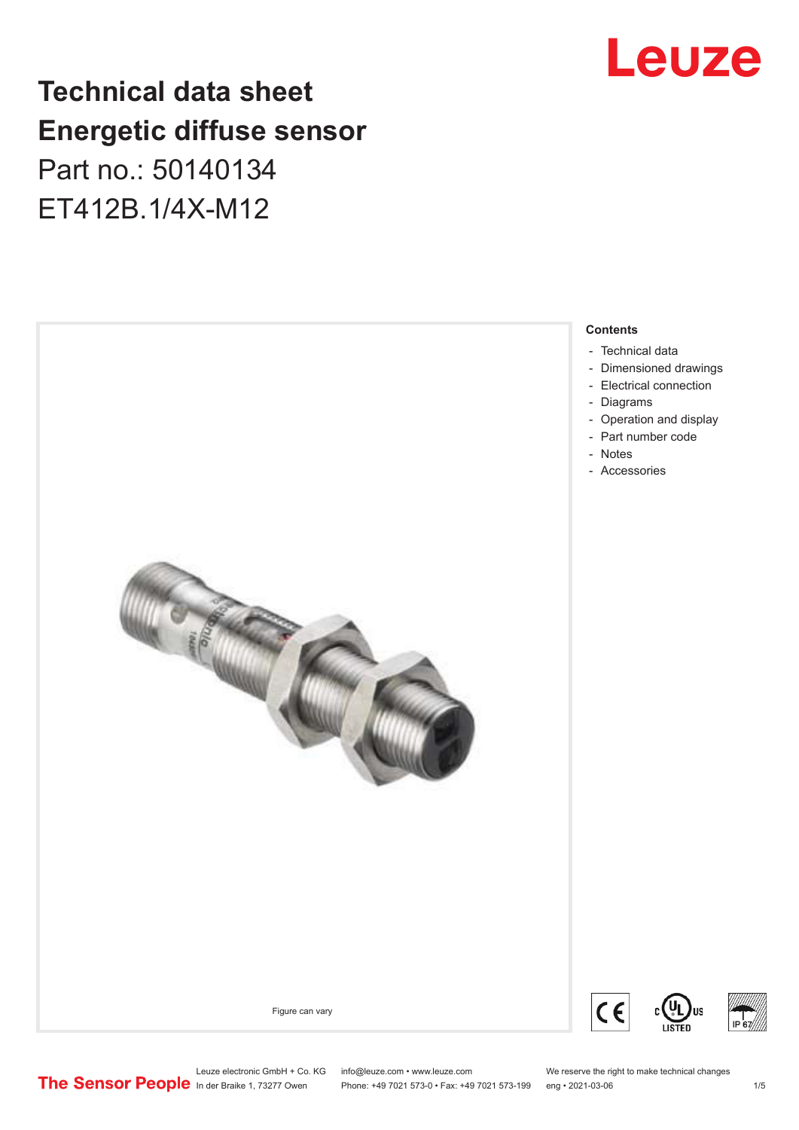## Leuze

## **Technical data sheet Energetic diffuse sensor**

Part no.: 50140134 ET412B.1/4X-M12



Leuze electronic GmbH + Co. KG info@leuze.com • www.leuze.com We reserve the right to make technical changes<br>
The Sensor People in der Braike 1, 73277 Owen Phone: +49 7021 573-0 • Fax: +49 7021 573-199 eng • 2021-03-06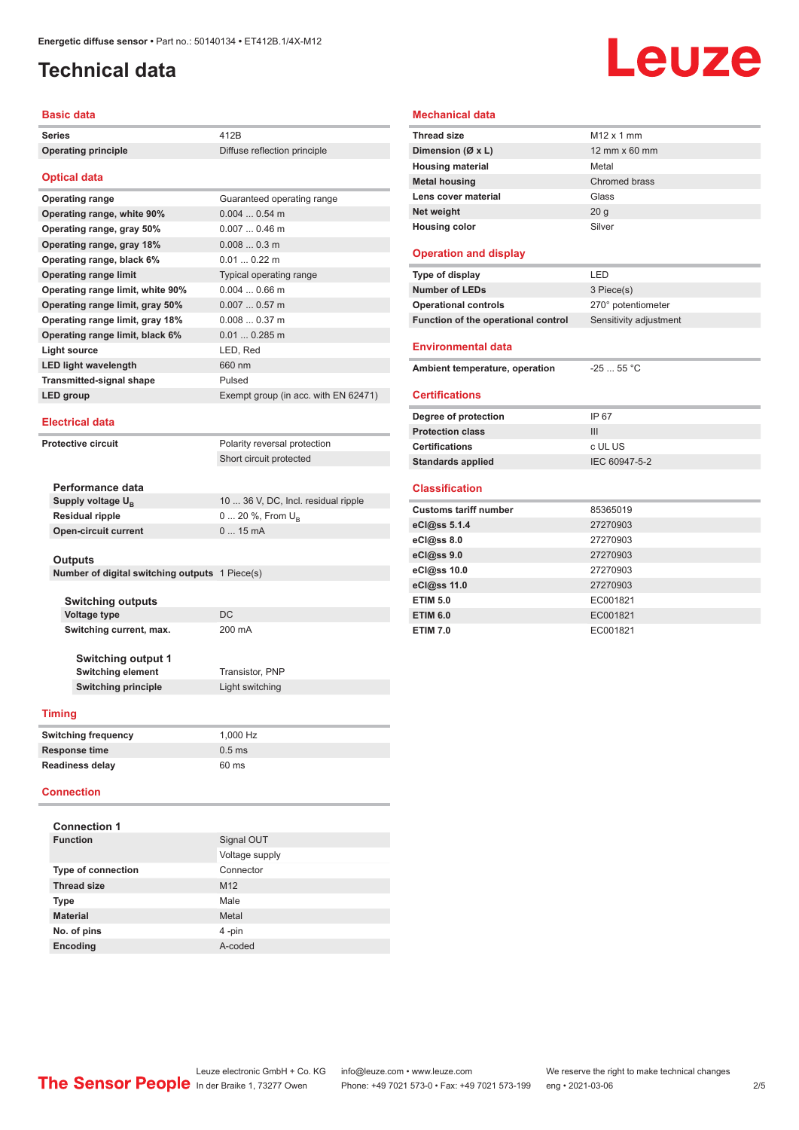## <span id="page-1-0"></span>**Technical data**

# Leuze

#### **Basic data**

| Series                                         | 412B                                 |  |
|------------------------------------------------|--------------------------------------|--|
| <b>Operating principle</b>                     | Diffuse reflection principle         |  |
|                                                |                                      |  |
| <b>Optical data</b>                            |                                      |  |
| <b>Operating range</b>                         | Guaranteed operating range           |  |
| Operating range, white 90%                     | $0.0040.54$ m                        |  |
| Operating range, gray 50%                      | $0.0070.46$ m                        |  |
| Operating range, gray 18%                      | $0.0080.3$ m                         |  |
| Operating range, black 6%                      | $0.010.22$ m                         |  |
| <b>Operating range limit</b>                   | Typical operating range              |  |
| Operating range limit, white 90%               | $0.0040.66$ m                        |  |
| Operating range limit, gray 50%                | $0.0070.57$ m                        |  |
| Operating range limit, gray 18%                | 0.0080.37m                           |  |
| Operating range limit, black 6%                | $0.010.285$ m                        |  |
| <b>Light source</b>                            | LED, Red                             |  |
| <b>LED light wavelength</b>                    | 660 nm                               |  |
| <b>Transmitted-signal shape</b>                | Pulsed                               |  |
| LED group                                      | Exempt group (in acc. with EN 62471) |  |
|                                                |                                      |  |
| <b>Electrical data</b>                         |                                      |  |
| <b>Protective circuit</b>                      | Polarity reversal protection         |  |
|                                                | Short circuit protected              |  |
|                                                |                                      |  |
| Performance data                               |                                      |  |
| Supply voltage $U_{B}$                         | 10  36 V, DC, Incl. residual ripple  |  |
| <b>Residual ripple</b>                         | $0 20 \%$ , From $U_{p}$             |  |
| <b>Open-circuit current</b>                    | 015mA                                |  |
|                                                |                                      |  |
| <b>Outputs</b>                                 |                                      |  |
| Number of digital switching outputs 1 Piece(s) |                                      |  |
| <b>Switching outputs</b>                       |                                      |  |
| Voltage type                                   | DC                                   |  |
| Switching current, max.                        | 200 mA                               |  |
|                                                |                                      |  |
| <b>Switching output 1</b>                      |                                      |  |
| <b>Switching element</b>                       | <b>Transistor, PNP</b>               |  |

### **Mechanical data**

| <b>Thread size</b>                  | M <sub>12</sub> x 1 mm |
|-------------------------------------|------------------------|
| Dimension (Ø x L)                   | 12 mm x 60 mm          |
| <b>Housing material</b>             | Metal                  |
| <b>Metal housing</b>                | Chromed brass          |
| Lens cover material                 | Glass                  |
| Net weight                          | 20 <sub>g</sub>        |
| <b>Housing color</b>                | Silver                 |
| <b>Operation and display</b>        |                        |
| Type of display                     | LED                    |
| <b>Number of LEDs</b>               | 3 Piece(s)             |
| <b>Operational controls</b>         | 270° potentiometer     |
| Function of the operational control | Sensitivity adjustment |
| <b>Environmental data</b>           |                        |
| Ambient temperature, operation      | $-25$ 55 °C            |
| <b>Certifications</b>               |                        |
| Degree of protection                | IP 67                  |
| <b>Protection class</b>             | III                    |
| <b>Certifications</b>               | c UL US                |
| <b>Standards applied</b>            | IEC 60947-5-2          |

#### **Classification**

i.

| <b>Customs tariff number</b> | 85365019 |
|------------------------------|----------|
| eCl@ss 5.1.4                 | 27270903 |
| eCl@ss 8.0                   | 27270903 |
| eCl@ss 9.0                   | 27270903 |
| eCl@ss 10.0                  | 27270903 |
| eCl@ss 11.0                  | 27270903 |
| <b>ETIM 5.0</b>              | EC001821 |
| <b>ETIM 6.0</b>              | EC001821 |
| <b>ETIM 7.0</b>              | EC001821 |

#### **Timing**

| <b>Switching frequency</b> | 1.000 Hz |
|----------------------------|----------|
| <b>Response time</b>       | $0.5$ ms |
| <b>Readiness delay</b>     | 60 ms    |

**Switching principle** Light switching

#### **Connection**

| <b>Connection 1</b>       |                 |  |  |  |
|---------------------------|-----------------|--|--|--|
| <b>Function</b>           | Signal OUT      |  |  |  |
|                           | Voltage supply  |  |  |  |
| <b>Type of connection</b> | Connector       |  |  |  |
| <b>Thread size</b>        | M <sub>12</sub> |  |  |  |
| <b>Type</b>               | Male            |  |  |  |
| <b>Material</b>           | Metal           |  |  |  |
| No. of pins               | 4-pin           |  |  |  |
| <b>Encoding</b>           | A-coded         |  |  |  |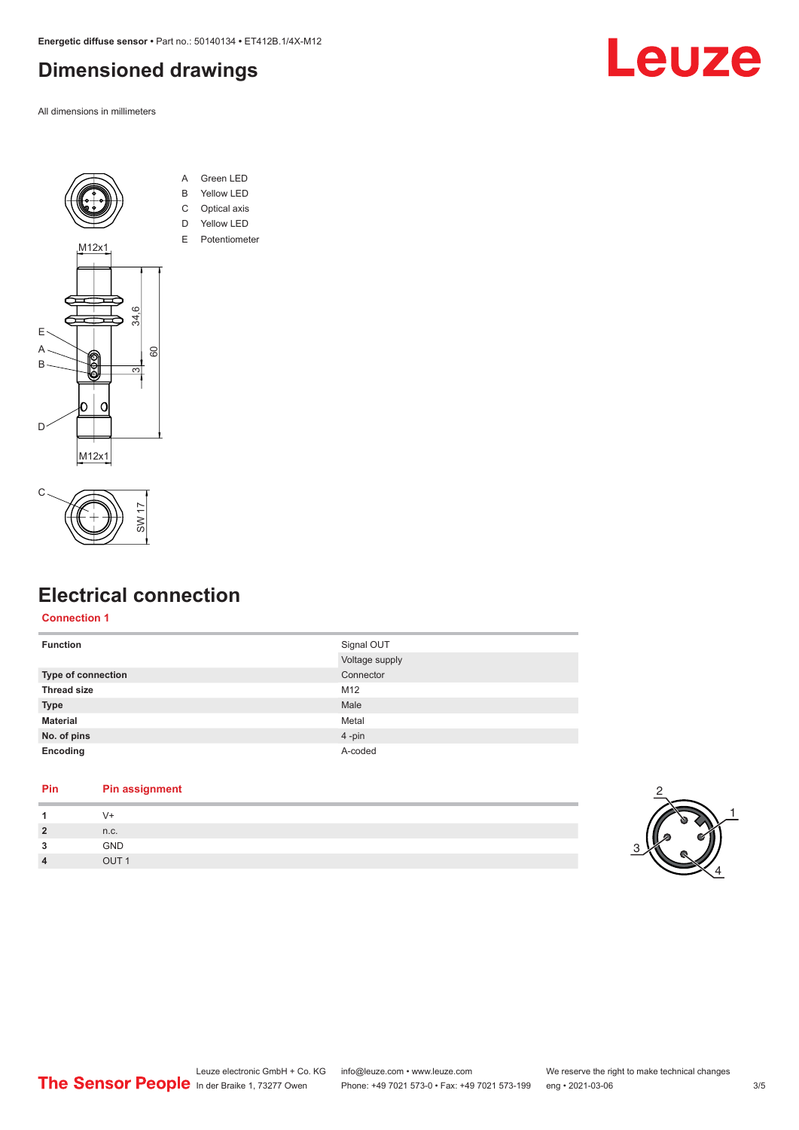## <span id="page-2-0"></span>**Dimensioned drawings**

All dimensions in millimeters





- A Green LED B Yellow LED
- C Optical axis
- D Yellow LED
- E Potentiometer





## **Electrical connection**

#### **Connection 1**

| <b>Function</b>    | Signal OUT     |
|--------------------|----------------|
|                    | Voltage supply |
| Type of connection | Connector      |
| <b>Thread size</b> | M12            |
| <b>Type</b>        | Male           |
| <b>Material</b>    | Metal          |
| No. of pins        | 4-pin          |
| Encoding           | A-coded        |
|                    |                |

#### **Pin Pin assignment**

| $\overline{2}$ | n.c.        |
|----------------|-------------|
| 3              | GND         |
| $\overline{4}$ | <b>OLIT</b> |
|                |             |



1

4

2

3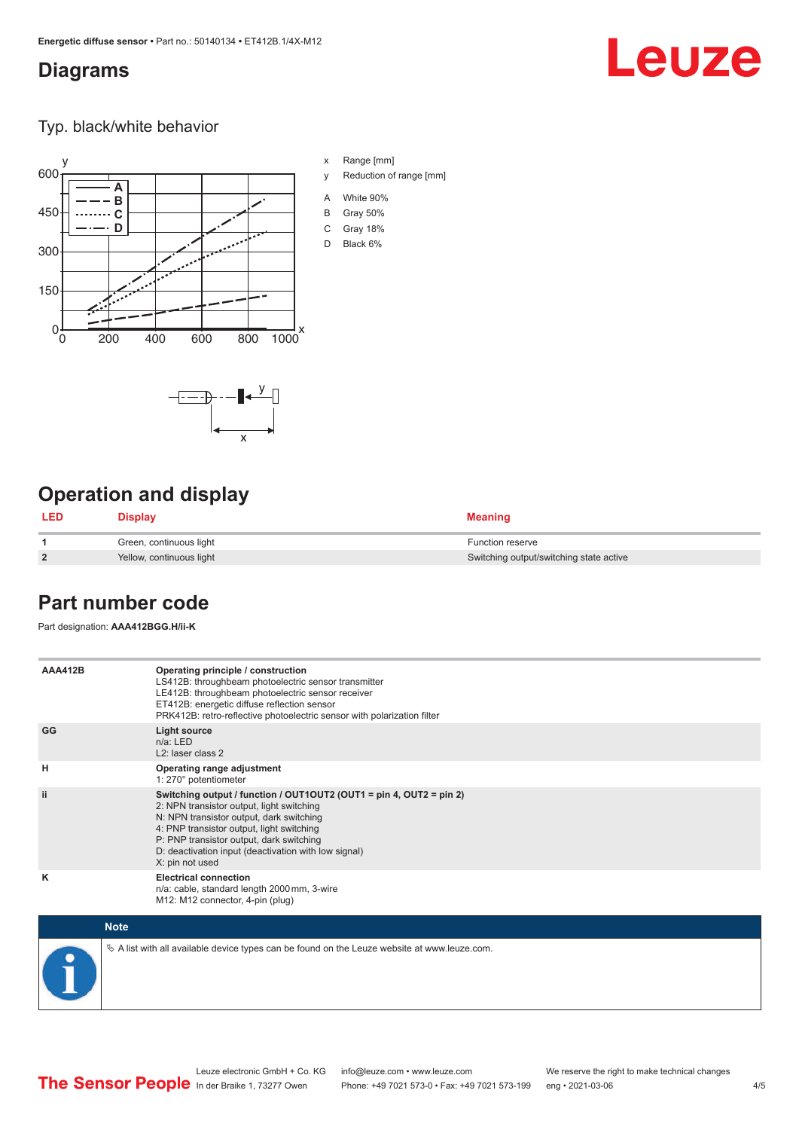## <span id="page-3-0"></span>**Diagrams**

## Leuze

Typ. black/white behavior



x

 $-\overline{...}$   $-\overline{...}$   $-\overline{...}$ 

x Range [mm]

- y Reduction of range [mm]
- A White 90%
- B Gray 50%
- C Gray 18%
- D Black 6%

## **Operation and display**

| <b>LED</b>     | <b>Display</b>           | <b>Meaning</b>                          |
|----------------|--------------------------|-----------------------------------------|
|                | Green, continuous light  | <b>Function reserve</b>                 |
| $\overline{2}$ | Yellow, continuous light | Switching output/switching state active |

## **Part number code**

Part designation: **AAA412BGG.H/ii-K**

| <b>AAA412B</b> | Operating principle / construction<br>LS412B: throughbeam photoelectric sensor transmitter<br>LE412B: throughbeam photoelectric sensor receiver<br>ET412B: energetic diffuse reflection sensor<br>PRK412B: retro-reflective photoelectric sensor with polarization filter                                                        |
|----------------|----------------------------------------------------------------------------------------------------------------------------------------------------------------------------------------------------------------------------------------------------------------------------------------------------------------------------------|
| GG             | <b>Light source</b><br>$n/a$ : LED<br>L <sub>2</sub> : laser class 2                                                                                                                                                                                                                                                             |
| н              | Operating range adjustment<br>1: 270° potentiometer                                                                                                                                                                                                                                                                              |
| ii.            | Switching output / function / OUT1OUT2 (OUT1 = pin 4, OUT2 = pin 2)<br>2: NPN transistor output, light switching<br>N: NPN transistor output, dark switching<br>4: PNP transistor output, light switching<br>P: PNP transistor output, dark switching<br>D: deactivation input (deactivation with low signal)<br>X: pin not used |
| ĸ              | <b>Electrical connection</b><br>n/a: cable, standard length 2000 mm, 3-wire<br>M12: M12 connector, 4-pin (plug)                                                                                                                                                                                                                  |

| <b>Note</b>                                                                                  |
|----------------------------------------------------------------------------------------------|
| ∜ A list with all available device types can be found on the Leuze website at www.leuze.com. |